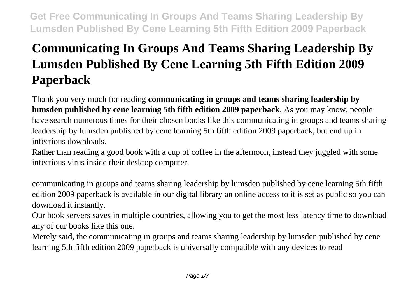# **Communicating In Groups And Teams Sharing Leadership By Lumsden Published By Cene Learning 5th Fifth Edition 2009 Paperback**

Thank you very much for reading **communicating in groups and teams sharing leadership by lumsden published by cene learning 5th fifth edition 2009 paperback**. As you may know, people have search numerous times for their chosen books like this communicating in groups and teams sharing leadership by lumsden published by cene learning 5th fifth edition 2009 paperback, but end up in infectious downloads.

Rather than reading a good book with a cup of coffee in the afternoon, instead they juggled with some infectious virus inside their desktop computer.

communicating in groups and teams sharing leadership by lumsden published by cene learning 5th fifth edition 2009 paperback is available in our digital library an online access to it is set as public so you can download it instantly.

Our book servers saves in multiple countries, allowing you to get the most less latency time to download any of our books like this one.

Merely said, the communicating in groups and teams sharing leadership by lumsden published by cene learning 5th fifth edition 2009 paperback is universally compatible with any devices to read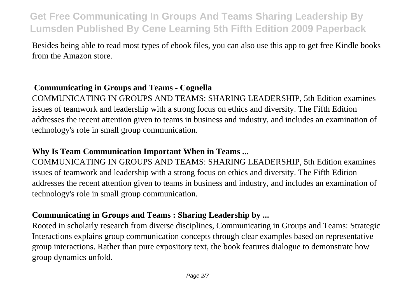Besides being able to read most types of ebook files, you can also use this app to get free Kindle books from the Amazon store.

# **Communicating in Groups and Teams - Cognella**

COMMUNICATING IN GROUPS AND TEAMS: SHARING LEADERSHIP, 5th Edition examines issues of teamwork and leadership with a strong focus on ethics and diversity. The Fifth Edition addresses the recent attention given to teams in business and industry, and includes an examination of technology's role in small group communication.

## **Why Is Team Communication Important When in Teams ...**

COMMUNICATING IN GROUPS AND TEAMS: SHARING LEADERSHIP, 5th Edition examines issues of teamwork and leadership with a strong focus on ethics and diversity. The Fifth Edition addresses the recent attention given to teams in business and industry, and includes an examination of technology's role in small group communication.

## **Communicating in Groups and Teams : Sharing Leadership by ...**

Rooted in scholarly research from diverse disciplines, Communicating in Groups and Teams: Strategic Interactions explains group communication concepts through clear examples based on representative group interactions. Rather than pure expository text, the book features dialogue to demonstrate how group dynamics unfold.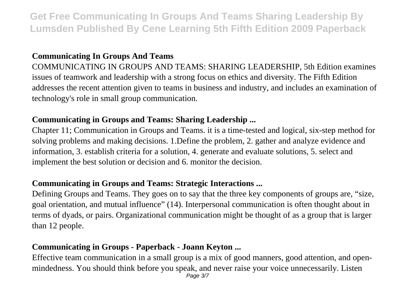# **Communicating In Groups And Teams**

COMMUNICATING IN GROUPS AND TEAMS: SHARING LEADERSHIP, 5th Edition examines issues of teamwork and leadership with a strong focus on ethics and diversity. The Fifth Edition addresses the recent attention given to teams in business and industry, and includes an examination of technology's role in small group communication.

# **Communicating in Groups and Teams: Sharing Leadership ...**

Chapter 11; Communication in Groups and Teams. it is a time-tested and logical, six-step method for solving problems and making decisions. 1.Define the problem, 2. gather and analyze evidence and information, 3. establish criteria for a solution, 4. generate and evaluate solutions, 5. select and implement the best solution or decision and 6. monitor the decision.

#### **Communicating in Groups and Teams: Strategic Interactions ...**

Defining Groups and Teams. They goes on to say that the three key components of groups are, "size, goal orientation, and mutual influence" (14). Interpersonal communication is often thought about in terms of dyads, or pairs. Organizational communication might be thought of as a group that is larger than 12 people.

## **Communicating in Groups - Paperback - Joann Keyton ...**

Effective team communication in a small group is a mix of good manners, good attention, and openmindedness. You should think before you speak, and never raise your voice unnecessarily. Listen Page 3/7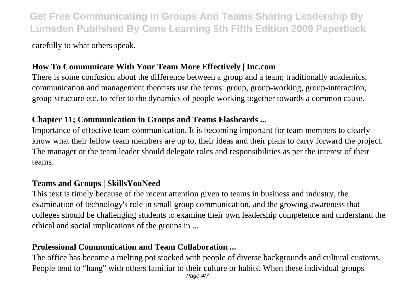carefully to what others speak.

# **How To Communicate With Your Team More Effectively | Inc.com**

There is some confusion about the difference between a group and a team; traditionally academics, communication and management theorists use the terms: group, group-working, group-interaction, group-structure etc. to refer to the dynamics of people working together towards a common cause.

## **Chapter 11; Communication in Groups and Teams Flashcards ...**

Importance of effective team communication. It is becoming important for team members to clearly know what their fellow team members are up to, their ideas and their plans to carry forward the project. The manager or the team leader should delegate roles and responsibilities as per the interest of their teams.

#### **Teams and Groups | SkillsYouNeed**

This text is timely because of the recent attention given to teams in business and industry, the examination of technology's role in small group communication, and the growing awareness that colleges should be challenging students to examine their own leadership competence and understand the ethical and social implications of the groups in ...

# **Professional Communication and Team Collaboration ...**

The office has become a melting pot stocked with people of diverse backgrounds and cultural customs. People tend to "hang" with others familiar to their culture or habits. When these individual groups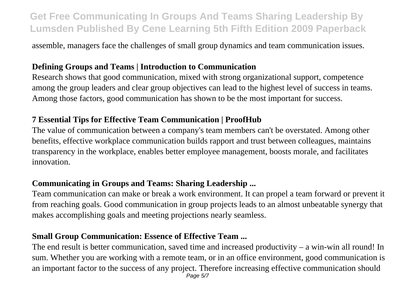assemble, managers face the challenges of small group dynamics and team communication issues.

## **Defining Groups and Teams | Introduction to Communication**

Research shows that good communication, mixed with strong organizational support, competence among the group leaders and clear group objectives can lead to the highest level of success in teams. Among those factors, good communication has shown to be the most important for success.

## **7 Essential Tips for Effective Team Communication | ProofHub**

The value of communication between a company's team members can't be overstated. Among other benefits, effective workplace communication builds rapport and trust between colleagues, maintains transparency in the workplace, enables better employee management, boosts morale, and facilitates innovation.

# **Communicating in Groups and Teams: Sharing Leadership ...**

Team communication can make or break a work environment. It can propel a team forward or prevent it from reaching goals. Good communication in group projects leads to an almost unbeatable synergy that makes accomplishing goals and meeting projections nearly seamless.

# **Small Group Communication: Essence of Effective Team ...**

The end result is better communication, saved time and increased productivity – a win-win all round! In sum. Whether you are working with a remote team, or in an office environment, good communication is an important factor to the success of any project. Therefore increasing effective communication should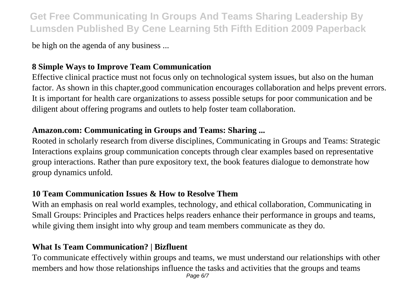be high on the agenda of any business ...

# **8 Simple Ways to Improve Team Communication**

Effective clinical practice must not focus only on technological system issues, but also on the human factor. As shown in this chapter,good communication encourages collaboration and helps prevent errors. It is important for health care organizations to assess possible setups for poor communication and be diligent about offering programs and outlets to help foster team collaboration.

#### **Amazon.com: Communicating in Groups and Teams: Sharing ...**

Rooted in scholarly research from diverse disciplines, Communicating in Groups and Teams: Strategic Interactions explains group communication concepts through clear examples based on representative group interactions. Rather than pure expository text, the book features dialogue to demonstrate how group dynamics unfold.

#### **10 Team Communication Issues & How to Resolve Them**

With an emphasis on real world examples, technology, and ethical collaboration, Communicating in Small Groups: Principles and Practices helps readers enhance their performance in groups and teams, while giving them insight into why group and team members communicate as they do.

# **What Is Team Communication? | Bizfluent**

To communicate effectively within groups and teams, we must understand our relationships with other members and how those relationships influence the tasks and activities that the groups and teams